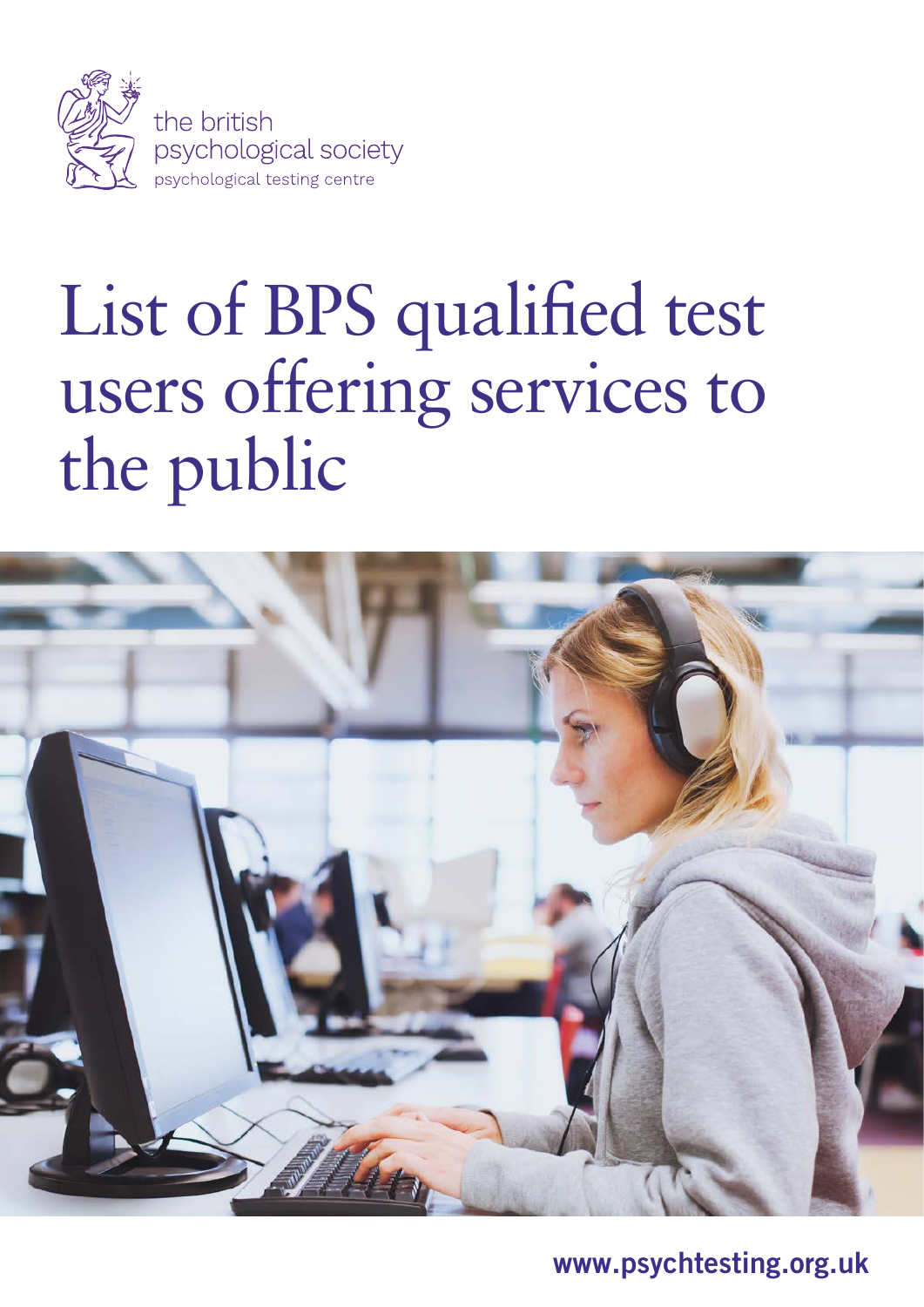

# List of BPS qualified test users offering services to the public



www.psychtesting.org.uk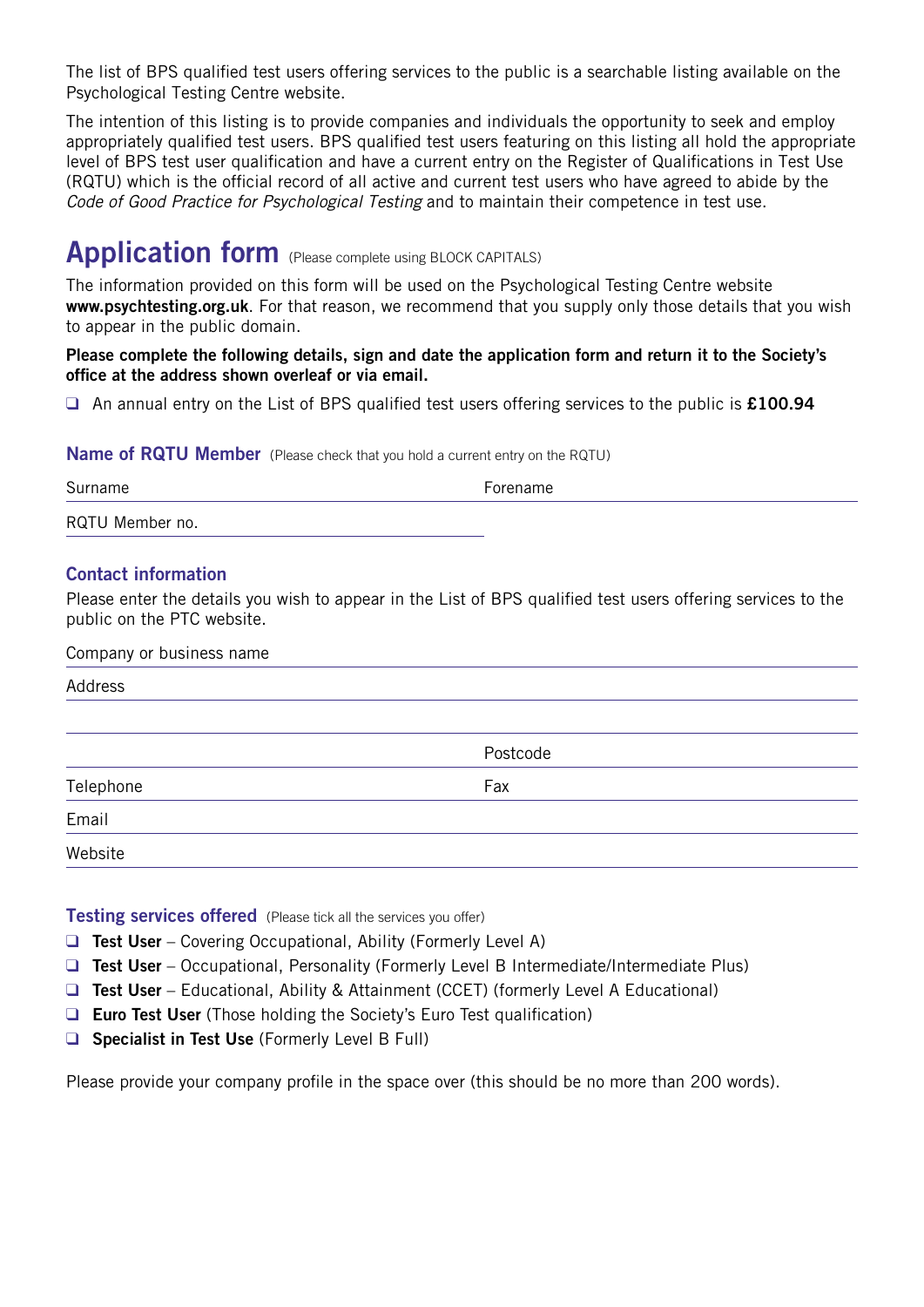The list of BPS qualified test users offering services to the public is a searchable listing available on the Psychological Testing Centre website.

The intention of this listing is to provide companies and individuals the opportunity to seek and employ appropriately qualified test users. BPS qualified test users featuring on this listing all hold the appropriate level of BPS test user qualification and have a current entry on the Register of Qualifications in Test Use (RQTU) which is the official record of all active and current test users who have agreed to abide by the *Code of Good Practice for Psychological Testing* and to maintain their competence in test use.

### Application form (Please complete using BLOCK CAPITALS)

The information provided on this form will be used on the Psychological Testing Centre website www.psychtesting.org.uk. For that reason, we recommend that you supply only those details that you wish to appear in the public domain.

Please complete the following details, sign and date the application form and return it to the Society's office at the address shown overleaf or via email.

 $\Box$  An annual entry on the List of BPS qualified test users offering services to the public is £100.94

#### **Name of RQTU Member** (Please check that you hold a current entry on the RQTU)

| Surname         | Forename |
|-----------------|----------|
| RQTU Member no. |          |

#### Contact information

Please enter the details you wish to appear in the List of BPS qualified test users offering services to the public on the PTC website.

Company or business name

| Postcode |
|----------|
| Fax      |
|          |
|          |
|          |

**Testing services offered** (Please tick all the services you offer)

- **Q** Test User Covering Occupational, Ability (Formerly Level A)
- **Q** Test User Occupational, Personality (Formerly Level B Intermediate/Intermediate Plus)
- $\Box$  **Test User** Educational, Ability & Attainment (CCET) (formerly Level A Educational)
- $\Box$  Euro Test User (Those holding the Society's Euro Test qualification)
- $\Box$  Specialist in Test Use (Formerly Level B Full)

Please provide your company profile in the space over (this should be no more than 200 words).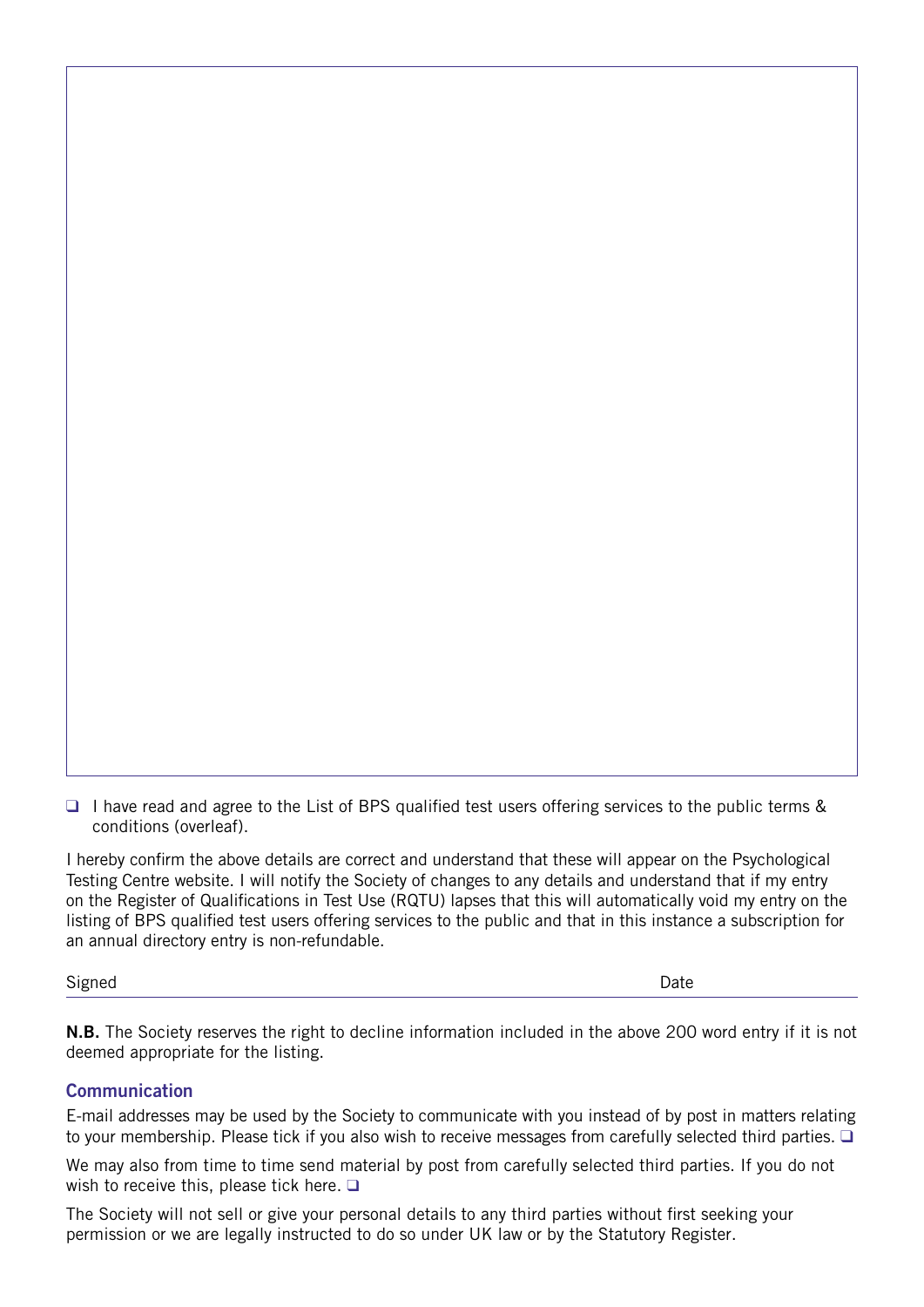□ I have read and agree to the List of BPS qualified test users offering services to the public terms & conditions (overleaf).

I hereby confirm the above details are correct and understand that these will appear on the Psychological Testing Centre website. I will notify the Society of changes to any details and understand that if my entry on the Register of Qualifications in Test Use (RQTU) lapses that this will automatically void my entry on the listing of BPS qualified test users offering services to the public and that in this instance a subscription for an annual directory entry is non-refundable.

Signed **Date** 

N.B. The Society reserves the right to decline information included in the above 200 word entry if it is not deemed appropriate for the listing.

#### **Communication**

E-mail addresses may be used by the Society to communicate with you instead of by post in matters relating to your membership. Please tick if you also wish to receive messages from carefully selected third parties.  $\Box$ 

We may also from time to time send material by post from carefully selected third parties. If you do not wish to receive this, please tick here.  $\square$ 

The Society will not sell or give your personal details to any third parties without first seeking your permission or we are legally instructed to do so under UK law or by the Statutory Register.